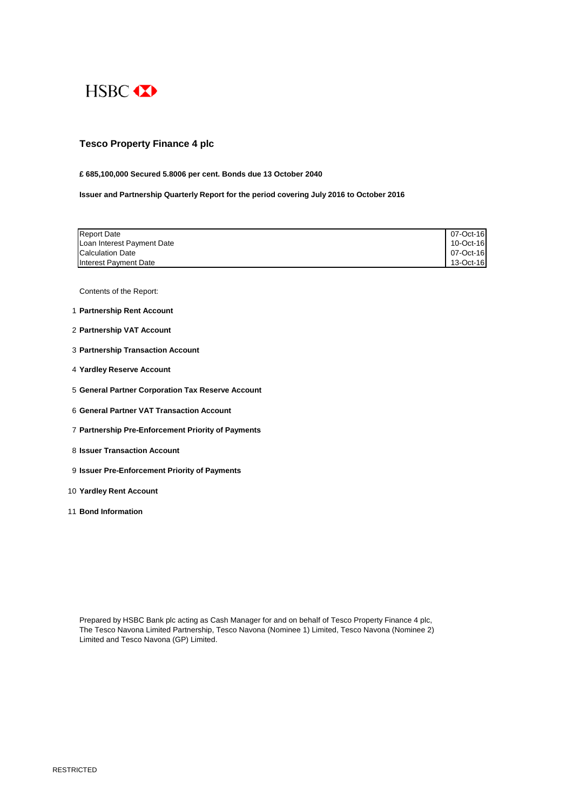RESTRICTED



#### **Tesco Property Finance 4 plc**

**£ 685,100,000 Secured 5.8006 per cent. Bonds due 13 October 2040**

**Issuer and Partnership Quarterly Report for the period covering July 2016 to October 2016**

| <b>Report Date</b>         | 07-Oct-16 |
|----------------------------|-----------|
| Loan Interest Payment Date | 10-Oct-16 |
| Calculation Date           | 07-Oct-16 |
| Interest Payment Date      | 13-Oct-16 |

Contents of the Report:

- 1 **Partnership Rent Account**
- 2 **Partnership VAT Account**
- 3 **Partnership Transaction Account**
- 4 **Yardley Reserve Account**
- 5 **General Partner Corporation Tax Reserve Account**
- 6 **General Partner VAT Transaction Account**
- 7 **Partnership Pre-Enforcement Priority of Payments**
- 8 **Issuer Transaction Account**
- 9 **Issuer Pre-Enforcement Priority of Payments**
- 10 **Yardley Rent Account**
- 11 **Bond Information**

Prepared by HSBC Bank plc acting as Cash Manager for and on behalf of Tesco Property Finance 4 plc,

The Tesco Navona Limited Partnership, Tesco Navona (Nominee 1) Limited, Tesco Navona (Nominee 2) Limited and Tesco Navona (GP) Limited.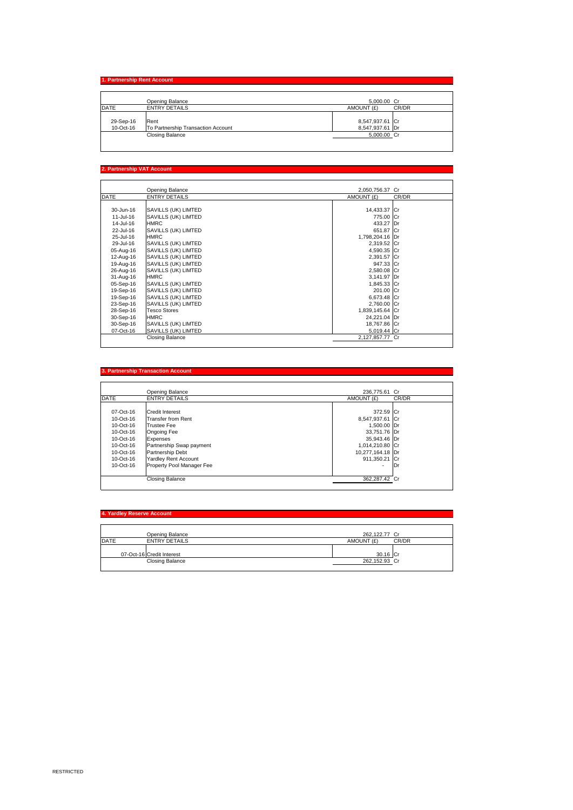## **1. Partnership Rent Account**

|                        | <b>Opening Balance</b>                     | 5,000.00 Cr                        |       |
|------------------------|--------------------------------------------|------------------------------------|-------|
| DATE                   | <b>ENTRY DETAILS</b>                       | AMOUNT (£)                         | CR/DR |
| 29-Sep-16<br>10-Oct-16 | Rent<br>To Partnership Transaction Account | 8,547,937.61 Cr<br>8,547,937.61 Dr |       |
|                        | <b>Closing Balance</b>                     | 5,000.00 Cr                        |       |
|                        |                                            |                                    |       |

## **2. Partnership VAT Account**

|             | <b>Opening Balance</b>     | 2,050,756.37 Cr |       |
|-------------|----------------------------|-----------------|-------|
| <b>DATE</b> | <b>ENTRY DETAILS</b>       | AMOUNT (£)      | CR/DR |
|             |                            |                 |       |
| 30-Jun-16   | <b>SAVILLS (UK) LIMTED</b> | 14,433.37 Cr    |       |
| 11-Jul-16   | <b>SAVILLS (UK) LIMTED</b> | 775.00 Cr       |       |
| 14-Jul-16   | <b>HMRC</b>                | 433.27 Dr       |       |
| 22-Jul-16   | <b>SAVILLS (UK) LIMTED</b> | 651.87 Cr       |       |
| 25-Jul-16   | <b>HMRC</b>                | 1,798,204.16 Dr |       |
| 29-Jul-16   | <b>SAVILLS (UK) LIMTED</b> | 2,319.52 Cr     |       |
| 05-Aug-16   | <b>SAVILLS (UK) LIMTED</b> | 4,590.35 Cr     |       |
| 12-Aug-16   | <b>SAVILLS (UK) LIMTED</b> | 2,391.57 Cr     |       |
| 19-Aug-16   | <b>SAVILLS (UK) LIMTED</b> | 947.33 Cr       |       |
| 26-Aug-16   | <b>SAVILLS (UK) LIMTED</b> | 2,580.08 Cr     |       |
| 31-Aug-16   | <b>HMRC</b>                | $3,141.97$ Dr   |       |
| 05-Sep-16   | <b>SAVILLS (UK) LIMTED</b> | 1,845.33 Cr     |       |
| 19-Sep-16   | <b>SAVILLS (UK) LIMTED</b> | 201.00 Cr       |       |
| 19-Sep-16   | <b>SAVILLS (UK) LIMTED</b> | 6,673.48 Cr     |       |
| 23-Sep-16   | <b>SAVILLS (UK) LIMTED</b> | 2,760.00 Cr     |       |
| 28-Sep-16   | <b>Tesco Stores</b>        | 1,839,145.64 Cr |       |
| 30-Sep-16   | <b>HMRC</b>                | 24,221.04   Dr  |       |
| 30-Sep-16   | <b>SAVILLS (UK) LIMTED</b> | 18,767.86 Cr    |       |
| 07-Oct-16   | <b>SAVILLS (UK) LIMTED</b> | 5,019.44 $ Cr$  |       |
|             | <b>Closing Balance</b>     | 2,127,857.77 Cr |       |

## **3. Partnership Transaction Account**

|             | <b>Opening Balance</b>           | 236,775.61 Cr    |       |
|-------------|----------------------------------|------------------|-------|
| <b>DATE</b> | <b>ENTRY DETAILS</b>             | AMOUNT (£)       | CR/DR |
|             |                                  |                  |       |
| 07-Oct-16   | <b>Credit Interest</b>           | 372.59 Cr        |       |
| 10-Oct-16   | <b>Transfer from Rent</b>        | 8,547,937.61     | -ICr  |
| 10-Oct-16   | <b>ITrustee Fee</b>              | 1,500.00 Dr      |       |
| 10-Oct-16   | <b>Ongoing Fee</b>               | 33,751.76 Dr     |       |
| 10-Oct-16   | Expenses                         | 35,943.46   Dr   |       |
| 10-Oct-16   | Partnership Swap payment         | 1,014,210.80 Cr  |       |
| 10-Oct-16   | <b>Partnership Debt</b>          | 10,277,164.18 Dr |       |
| 10-Oct-16   | <b>Yardley Rent Account</b>      | 911,350.21       | Cr    |
| 10-Oct-16   | <b>Property Pool Manager Fee</b> | $\blacksquare$   | Dr    |
|             |                                  |                  |       |
|             | <b>Closing Balance</b>           | 362,287.42 Cr    |       |

## **4. Yardley Reserve Account**

|             | <b>Opening Balance</b>    | 262,122.77 Cr |       |
|-------------|---------------------------|---------------|-------|
| <b>DATE</b> | <b>ENTRY DETAILS</b>      | AMOUNT (£)    | CR/DR |
|             |                           |               |       |
|             | 07-Oct-16 Credit Interest | $30.16$ Cr    |       |
|             | <b>Closing Balance</b>    | 262,152.93 Cr |       |
|             |                           |               |       |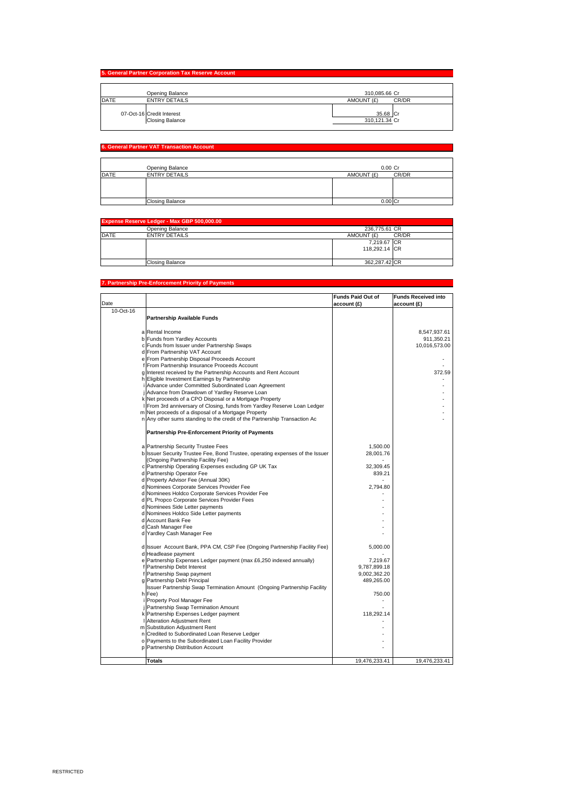# **5. General Partner Corporation Tax Reserve Account**

|      | <b>Opening Balance</b>                              | 310,085.66 Cr             |       |
|------|-----------------------------------------------------|---------------------------|-------|
| DATE | <b>ENTRY DETAILS</b>                                | AMOUNT (£)                | CR/DR |
|      | 07-Oct-16 Credit Interest<br><b>Closing Balance</b> | 35.68 Cr<br>310,121.34 Cr |       |

## **6. General Partner VAT Transaction Account**

|      | <b>Opening Balance</b> | $0.00$ Cr           |
|------|------------------------|---------------------|
| DATE | <b>ENTRY DETAILS</b>   | CR/DR<br>AMOUNT (£) |
|      |                        |                     |
|      |                        |                     |
|      |                        |                     |
|      | <b>Closing Balance</b> | $0.00$ Cr           |

| <b>Expense Reserve Ledger - Max GBP 500,000.00</b> |                        |                     |  |
|----------------------------------------------------|------------------------|---------------------|--|
|                                                    | <b>Opening Balance</b> | 236,775.61 CR       |  |
| DATE                                               | <b>ENTRY DETAILS</b>   | AMOUNT (£)<br>CR/DR |  |
|                                                    |                        | 7,219.67 CR         |  |
|                                                    |                        | 118,292.14 CR       |  |
|                                                    |                        |                     |  |
|                                                    | <b>Closing Balance</b> | 362,287.42 CR       |  |

## **7. Partnership Pre-Enforcement Priority of Payments**

|           |                                                                               | <b>Funds Paid Out of</b> | <b>Funds Received into</b> |
|-----------|-------------------------------------------------------------------------------|--------------------------|----------------------------|
| Date      |                                                                               | account(E)               | account(E)                 |
| 10-Oct-16 |                                                                               |                          |                            |
|           | <b>Partnership Available Funds</b>                                            |                          |                            |
|           |                                                                               |                          |                            |
|           | a Rental Income                                                               |                          | 8,547,937.61               |
|           | b Funds from Yardley Accounts                                                 |                          | 911,350.21                 |
|           | c Funds from Issuer under Partnership Swaps                                   |                          | 10,016,573.00              |
|           | d From Partnership VAT Account                                                |                          |                            |
|           | e From Partnership Disposal Proceeds Account                                  |                          |                            |
|           | f From Partnership Insurance Proceeds Account                                 |                          |                            |
|           | g Interest received by the Partnership Accounts and Rent Account              |                          | 372.59                     |
|           | h Eligible Investment Earnings by Partnership                                 |                          |                            |
|           | <b>Advance under Committed Subordinated Loan Agreement</b>                    |                          |                            |
|           | Advance from Drawdown of Yardley Reserve Loan                                 |                          |                            |
|           | k Net proceeds of a CPO Disposal or a Mortgage Property                       |                          |                            |
|           | IFrom 3rd anniversary of Closing, funds from Yardley Reserve Loan Ledger      |                          |                            |
|           | m Net proceeds of a disposal of a Mortgage Property                           |                          |                            |
|           |                                                                               |                          |                            |
|           | n Any other sums standing to the credit of the Partnership Transaction Ac     |                          |                            |
|           | <b>Partnership Pre-Enforcement Priority of Payments</b>                       |                          |                            |
|           |                                                                               |                          |                            |
|           | a Partnership Security Trustee Fees                                           | 1,500.00                 |                            |
|           | b Issuer Security Trustee Fee, Bond Trustee, operating expenses of the Issuer | 28,001.76                |                            |
|           | (Ongoing Partnership Facility Fee)                                            |                          |                            |
|           | c Partnership Operating Expenses excluding GP UK Tax                          | 32,309.45                |                            |
|           | d Partnership Operator Fee                                                    | 839.21                   |                            |
|           | d Property Advisor Fee (Annual 30K)                                           |                          |                            |
|           | d Nominees Corporate Services Provider Fee                                    | 2,794.80                 |                            |
|           | d Nominees Holdco Corporate Services Provider Fee                             |                          |                            |
|           | d PL Propco Corporate Services Provider Fees                                  |                          |                            |
|           | d Nominees Side Letter payments                                               |                          |                            |
|           | d Nominees Holdco Side Letter payments                                        |                          |                            |
|           | d Account Bank Fee                                                            |                          |                            |
|           | d Cash Manager Fee                                                            |                          |                            |
|           | d Yardley Cash Manager Fee                                                    |                          |                            |
|           | d Issuer Account Bank, PPA CM, CSP Fee (Ongoing Partnership Facility Fee)     | 5,000.00                 |                            |
|           | d Headlease payment                                                           |                          |                            |
|           | e Partnership Expenses Ledger payment (max £6,250 indexed annually)           | 7,219.67                 |                            |
|           | f Partnership Debt Interest                                                   | 9,787,899.18             |                            |
|           | f Partnership Swap payment                                                    | 9,002,362.20             |                            |
|           | g Partnership Debt Principal                                                  | 489,265.00               |                            |
|           | Issuer Partnership Swap Termination Amount (Ongoing Partnership Facility      |                          |                            |
|           | $h$ Fee)                                                                      | 750.00                   |                            |
|           | <b>I</b> Property Pool Manager Fee                                            |                          |                            |
|           | j Partnership Swap Termination Amount                                         |                          |                            |
|           | k Partnership Expenses Ledger payment                                         | 118,292.14               |                            |
|           | Alteration Adjustment Rent                                                    |                          |                            |
|           | m Substitution Adjustment Rent                                                |                          |                            |
|           | n Credited to Subordinated Loan Reserve Ledger                                |                          |                            |
|           | o Payments to the Subordinated Loan Facility Provider                         |                          |                            |
|           | p   Partnership Distribution Account                                          |                          |                            |
|           |                                                                               |                          |                            |
|           | <b>Totals</b>                                                                 | 19,476,233.41            | 19,476,233.41              |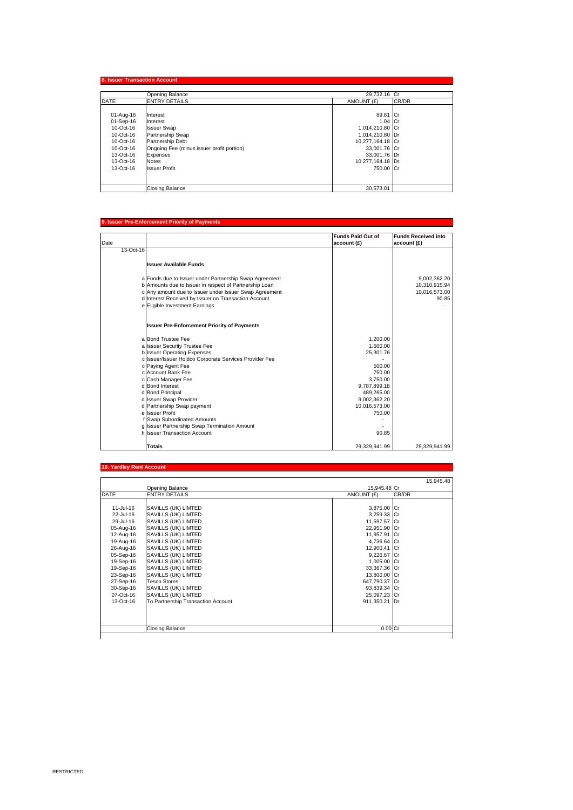## **8. Issuer Transaction Account**

|             | <b>Opening Balance</b>                    | 29,732.16 Cr     |              |
|-------------|-------------------------------------------|------------------|--------------|
| <b>DATE</b> | <b>ENTRY DETAILS</b>                      | AMOUNT (£)       | <b>CR/DR</b> |
|             |                                           |                  |              |
| 01-Aug-16   | Interest                                  | 89.81 Cr         |              |
| 01-Sep-16   | Interest                                  | 1.04 $ Cr$       |              |
| 10-Oct-16   | <b>Issuer Swap</b>                        | 1,014,210.80 Cr  |              |
| 10-Oct-16   | Partnership Swap                          | 1,014,210.80 Dr  |              |
| 10-Oct-16   | <b>Partnership Debt</b>                   | 10,277,164.18 Cr |              |
| 10-Oct-16   | Ongoing Fee (minus issuer profit portion) | 33,001.76 Cr     |              |
| 13-Oct-16   | Expenses                                  | 33,001.76 Dr     |              |
| 13-Oct-16   | <b>Notes</b>                              | 10,277,164.18 Dr |              |
| 13-Oct-16   | <b>Issuer Profit</b>                      | 750.00 Cr        |              |
|             |                                           |                  |              |
|             |                                           |                  |              |
|             | <b>Closing Balance</b>                    | 30,573.01        |              |

## **9. Issuer Pre-Enforcement Priority of Payments**

| Date      |                                                                                                                                                                                                                                                                      | <b>Funds Paid Out of</b><br>$ $ account $(E)$ | <b>Funds Received into</b><br>account(E)                |
|-----------|----------------------------------------------------------------------------------------------------------------------------------------------------------------------------------------------------------------------------------------------------------------------|-----------------------------------------------|---------------------------------------------------------|
| 13-Oct-16 |                                                                                                                                                                                                                                                                      |                                               |                                                         |
|           | <b>Issuer Available Funds</b>                                                                                                                                                                                                                                        |                                               |                                                         |
|           | a Funds due to Issuer under Partnership Swap Agreement<br>b Amounts due to Issuer in respect of Partnership Loan<br>c Any amount due to Issuer under Issuer Swap Agreement<br>d Interest Received by Issuer on Transaction Account<br>e Eligible Investment Earnings |                                               | 9,002,362.20<br>10,310,915.94<br>10,016,573.00<br>90.85 |
|           | <b>Issuer Pre-Enforcement Priority of Payments</b>                                                                                                                                                                                                                   |                                               |                                                         |
|           | a Bond Trustee Fee                                                                                                                                                                                                                                                   | 1,200.00                                      |                                                         |
|           | a Issuer Security Trustee Fee                                                                                                                                                                                                                                        | 1,500.00                                      |                                                         |
|           | b Issuer Operating Expenses                                                                                                                                                                                                                                          | 25,301.76                                     |                                                         |
|           | c Issuer/Issuer Holdco Corporate Services Provider Fee                                                                                                                                                                                                               |                                               |                                                         |
|           | c Paying Agent Fee                                                                                                                                                                                                                                                   | 500.00                                        |                                                         |
|           | c Account Bank Fee                                                                                                                                                                                                                                                   | 750.00                                        |                                                         |
|           | c Cash Manager Fee<br>d Bond Interest                                                                                                                                                                                                                                | 3,750.00<br>9,787,899.18                      |                                                         |
|           | d Bond Principal                                                                                                                                                                                                                                                     | 489,265.00                                    |                                                         |
|           | d Issuer Swap Provider                                                                                                                                                                                                                                               | 9,002,362.20                                  |                                                         |
|           | d Partnership Swap payment                                                                                                                                                                                                                                           | 10,016,573.00                                 |                                                         |
|           | ellssuer Profit                                                                                                                                                                                                                                                      | 750.00                                        |                                                         |
|           | f Swap Subordinated Amounts                                                                                                                                                                                                                                          |                                               |                                                         |
|           | g Issuer Partnership Swap Termination Amount                                                                                                                                                                                                                         |                                               |                                                         |
|           | asus Transaction Associat                                                                                                                                                                                                                                            | $\Omega$ $\Omega$ $\Omega$                    |                                                         |

| <b>Totals</b>                        | 29,329,941.99 | 29,329,941.99 |
|--------------------------------------|---------------|---------------|
|                                      |               |               |
| .<br>Transaction Account<br>ullssuer | 90.85         |               |

#### **10. Yardley Rent Account**

|              |                                    |               | 15,945.48 |
|--------------|------------------------------------|---------------|-----------|
|              | <b>Opening Balance</b>             | 15,945.48 Cr  |           |
| <b>DATE</b>  | <b>ENTRY DETAILS</b>               | AMOUNT (£)    | CR/DR     |
|              |                                    |               |           |
| $11$ -Jul-16 | SAVILLS (UK) LIMTED                | 3,875.00 Cr   |           |
| 22-Jul-16    | SAVILLS (UK) LIMTED                | 3,259.33 Cr   |           |
| 29-Jul-16    | SAVILLS (UK) LIMTED                | 11,597.57 Cr  |           |
| 05-Aug-16    | SAVILLS (UK) LIMTED                | 22,951.90 Cr  |           |
| 12-Aug-16    | <b>SAVILLS (UK) LIMTED</b>         | 11,957.91 Cr  |           |
| 19-Aug-16    | <b>SAVILLS (UK) LIMTED</b>         | 4,736.64 Cr   |           |
| 26-Aug-16    | SAVILLS (UK) LIMTED                | 12,900.41 Cr  |           |
| 05-Sep-16    | SAVILLS (UK) LIMTED                | 9,226.67 Cr   |           |
| 19-Sep-16    | SAVILLS (UK) LIMTED                | 1,005.00 Cr   |           |
| 19-Sep-16    | <b>SAVILLS (UK) LIMTED</b>         | 33,367.36 Cr  |           |
| 23-Sep-16    | SAVILLS (UK) LIMTED                | 13,800.00 Cr  |           |
| 27-Sep-16    | Tesco Stores                       | 647,790.37 Cr |           |
| 30-Sep-16    | SAVILLS (UK) LIMTED                | 93,839.34 Cr  |           |
| 07-Oct-16    | SAVILLS (UK) LIMTED                | 25,097.23 Cr  |           |
| 13-Oct-16    | To Partnership Transaction Account | 911,350.21 Dr |           |
|              |                                    |               |           |
|              |                                    |               |           |
|              | <b>Closing Balance</b>             | $0.00$ Cr     |           |